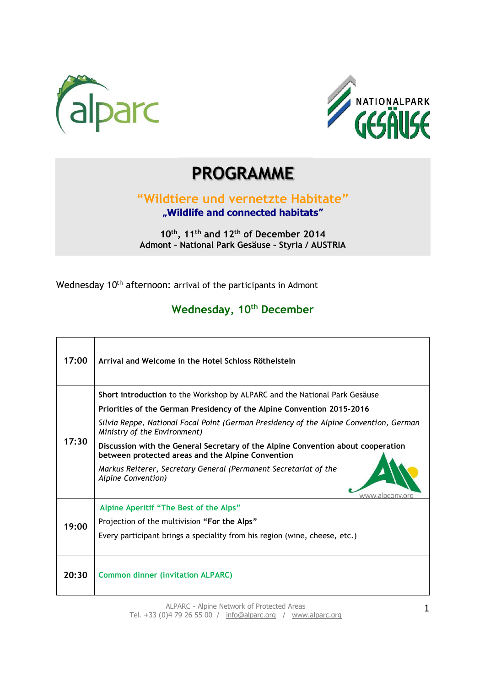



# **PROGRAMME**

### **"Wildtiere und vernetzte Habitate"**

#### **"Wildlife and connected habitats"**

**10th, 11th and 12th of December 2014 Admont – National Park Gesäuse – Styria / AUSTRIA** 

Wednesday 10<sup>th</sup> afternoon: arrival of the participants in Admont

### **Wednesday, 10th December**

| 17:00 | Arrival and Welcome in the Hotel Schloss Röthelstein                                                                                  |
|-------|---------------------------------------------------------------------------------------------------------------------------------------|
| 17:30 | Short introduction to the Workshop by ALPARC and the National Park Gesäuse                                                            |
|       | Priorities of the German Presidency of the Alpine Convention 2015-2016                                                                |
|       | Silvia Reppe, National Focal Point (German Presidency of the Alpine Convention, German<br>Ministry of the Environment)                |
|       | Discussion with the General Secretary of the Alpine Convention about cooperation<br>between protected areas and the Alpine Convention |
|       | Markus Reiterer, Secretary General (Permanent Secretariat of the<br>Alpine Convention)<br>www.alpconv.or                              |
| 19:00 | Alpine Aperitif "The Best of the Alps"                                                                                                |
|       | Projection of the multivision "For the Alps"                                                                                          |
|       | Every participant brings a speciality from his region (wine, cheese, etc.)                                                            |
| 20:30 | <b>Common dinner (invitation ALPARC)</b>                                                                                              |

ALPARC - Alpine Network of Protected Areas Tel. +33 (0)4 79 26 55 00 / info@alparc.org / www.alparc.org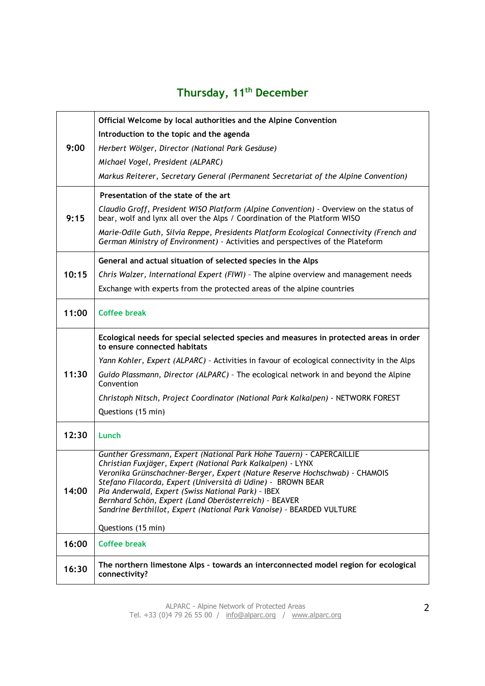## **Thursday, 11th December**

|       | Official Welcome by local authorities and the Alpine Convention                                                                                                                                                                                                                                                                                                                                                                                                            |
|-------|----------------------------------------------------------------------------------------------------------------------------------------------------------------------------------------------------------------------------------------------------------------------------------------------------------------------------------------------------------------------------------------------------------------------------------------------------------------------------|
|       | Introduction to the topic and the agenda                                                                                                                                                                                                                                                                                                                                                                                                                                   |
| 9:00  | Herbert Wölger, Director (National Park Gesäuse)                                                                                                                                                                                                                                                                                                                                                                                                                           |
|       | Michael Vogel, President (ALPARC)                                                                                                                                                                                                                                                                                                                                                                                                                                          |
|       | Markus Reiterer, Secretary General (Permanent Secretariat of the Alpine Convention)                                                                                                                                                                                                                                                                                                                                                                                        |
|       | Presentation of the state of the art                                                                                                                                                                                                                                                                                                                                                                                                                                       |
| 9:15  | Claudio Groff, President WISO Platform (Alpine Convention) - Overview on the status of<br>bear, wolf and lynx all over the Alps / Coordination of the Platform WISO                                                                                                                                                                                                                                                                                                        |
|       | Marie-Odile Guth, Silvia Reppe, Presidents Platform Ecological Connectivity (French and<br>German Ministry of Environment) - Activities and perspectives of the Plateform                                                                                                                                                                                                                                                                                                  |
|       | General and actual situation of selected species in the Alps                                                                                                                                                                                                                                                                                                                                                                                                               |
| 10:15 | Chris Walzer, International Expert (FIWI) - The alpine overview and management needs                                                                                                                                                                                                                                                                                                                                                                                       |
|       | Exchange with experts from the protected areas of the alpine countries                                                                                                                                                                                                                                                                                                                                                                                                     |
| 11:00 | <b>Coffee break</b>                                                                                                                                                                                                                                                                                                                                                                                                                                                        |
|       | Ecological needs for special selected species and measures in protected areas in order<br>to ensure connected habitats                                                                                                                                                                                                                                                                                                                                                     |
|       | Yann Kohler, Expert (ALPARC) - Activities in favour of ecological connectivity in the Alps                                                                                                                                                                                                                                                                                                                                                                                 |
| 11:30 | Guido Plassmann, Director (ALPARC) - The ecological network in and beyond the Alpine<br>Convention                                                                                                                                                                                                                                                                                                                                                                         |
|       | Christoph Nitsch, Project Coordinator (National Park Kalkalpen) - NETWORK FOREST                                                                                                                                                                                                                                                                                                                                                                                           |
|       | Questions (15 min)                                                                                                                                                                                                                                                                                                                                                                                                                                                         |
| 12:30 | Lunch                                                                                                                                                                                                                                                                                                                                                                                                                                                                      |
| 14:00 | Gunther Gressmann, Expert (National Park Hohe Tauern) - CAPERCAILLIE<br>Christian Fuxjäger, Expert (National Park Kalkalpen) - LYNX<br>Veronika Grünschachner-Berger, Expert (Nature Reserve Hochschwab) - CHAMOIS<br>Stefano Filacorda, Expert (Università di Udine) - BROWN BEAR<br>Pia Anderwald, Expert (Swiss National Park) - IBEX<br>Bernhard Schön, Expert (Land Oberösterreich) - BEAVER<br>Sandrine Berthillot, Expert (National Park Vanoise) - BEARDED VULTURE |
|       | Questions (15 min)                                                                                                                                                                                                                                                                                                                                                                                                                                                         |
| 16:00 | <b>Coffee break</b>                                                                                                                                                                                                                                                                                                                                                                                                                                                        |
| 16:30 | The northern limestone Alps - towards an interconnected model region for ecological<br>connectivity?                                                                                                                                                                                                                                                                                                                                                                       |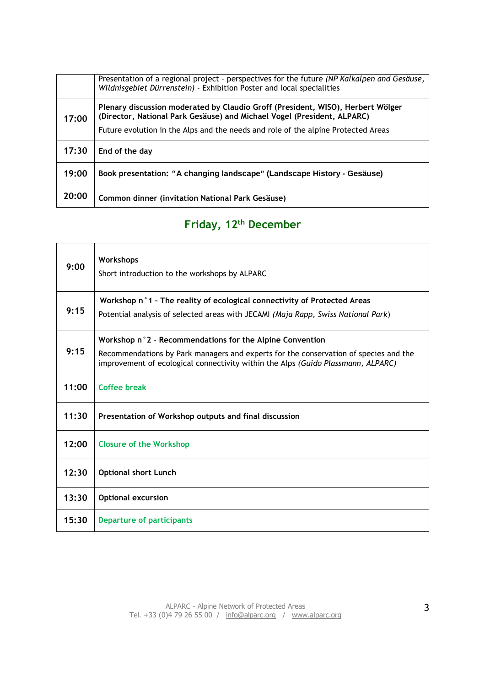|       | Presentation of a regional project - perspectives for the future (NP Kalkalpen and Gesäuse,<br>Wildnisgebiet Dürrenstein) - Exhibition Poster and local specialities |
|-------|----------------------------------------------------------------------------------------------------------------------------------------------------------------------|
| 17:00 | Plenary discussion moderated by Claudio Groff (President, WISO), Herbert Wölger<br>(Director, National Park Gesäuse) and Michael Vogel (President, ALPARC)           |
|       | Future evolution in the Alps and the needs and role of the alpine Protected Areas                                                                                    |
| 17:30 | End of the day                                                                                                                                                       |
| 19:00 | Book presentation: "A changing landscape" (Landscape History - Gesäuse)                                                                                              |
| 20:00 | Common dinner (invitation National Park Gesäuse)                                                                                                                     |

### **Friday, 12th December**

| 9:00  | Workshops<br>Short introduction to the workshops by ALPARC                                                                                                               |
|-------|--------------------------------------------------------------------------------------------------------------------------------------------------------------------------|
| 9:15  | Workshop n°1 - The reality of ecological connectivity of Protected Areas<br>Potential analysis of selected areas with JECAMI (Maja Rapp, Swiss National Park)            |
| 9:15  | Workshop n°2 - Recommendations for the Alpine Convention                                                                                                                 |
|       | Recommendations by Park managers and experts for the conservation of species and the<br>improvement of ecological connectivity within the Alps (Guido Plassmann, ALPARC) |
| 11:00 | Coffee break                                                                                                                                                             |
| 11:30 | Presentation of Workshop outputs and final discussion                                                                                                                    |
| 12:00 | <b>Closure of the Workshop</b>                                                                                                                                           |
| 12:30 | <b>Optional short Lunch</b>                                                                                                                                              |
| 13:30 | <b>Optional excursion</b>                                                                                                                                                |
| 15:30 | Departure of participants                                                                                                                                                |